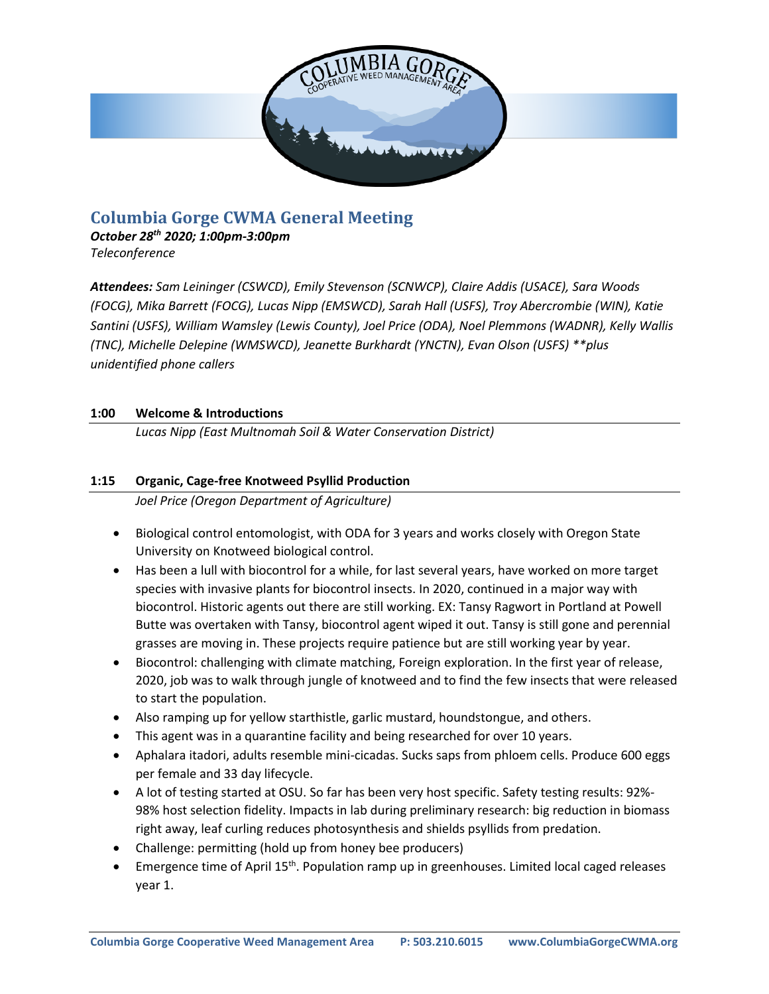

# **Columbia Gorge CWMA General Meeting**

*October 28 th 2020; 1:00pm-3:00pm Teleconference*

*Attendees: Sam Leininger (CSWCD), Emily Stevenson (SCNWCP), Claire Addis (USACE), Sara Woods (FOCG), Mika Barrett (FOCG), Lucas Nipp (EMSWCD), Sarah Hall (USFS), Troy Abercrombie (WIN), Katie Santini (USFS), William Wamsley (Lewis County), Joel Price (ODA), Noel Plemmons (WADNR), Kelly Wallis (TNC), Michelle Delepine (WMSWCD), Jeanette Burkhardt (YNCTN), Evan Olson (USFS) \*\*plus unidentified phone callers*

## **1:00 Welcome & Introductions**

*Lucas Nipp (East Multnomah Soil & Water Conservation District)*

## **1:15 Organic, Cage-free Knotweed Psyllid Production**

*Joel Price (Oregon Department of Agriculture)*

- Biological control entomologist, with ODA for 3 years and works closely with Oregon State University on Knotweed biological control.
- Has been a lull with biocontrol for a while, for last several years, have worked on more target species with invasive plants for biocontrol insects. In 2020, continued in a major way with biocontrol. Historic agents out there are still working. EX: Tansy Ragwort in Portland at Powell Butte was overtaken with Tansy, biocontrol agent wiped it out. Tansy is still gone and perennial grasses are moving in. These projects require patience but are still working year by year.
- Biocontrol: challenging with climate matching, Foreign exploration. In the first year of release, 2020, job was to walk through jungle of knotweed and to find the few insects that were released to start the population.
- Also ramping up for yellow starthistle, garlic mustard, houndstongue, and others.
- This agent was in a quarantine facility and being researched for over 10 years.
- Aphalara itadori, adults resemble mini-cicadas. Sucks saps from phloem cells. Produce 600 eggs per female and 33 day lifecycle.
- A lot of testing started at OSU. So far has been very host specific. Safety testing results: 92%- 98% host selection fidelity. Impacts in lab during preliminary research: big reduction in biomass right away, leaf curling reduces photosynthesis and shields psyllids from predation.
- Challenge: permitting (hold up from honey bee producers)
- Emergence time of April 15<sup>th</sup>. Population ramp up in greenhouses. Limited local caged releases year 1.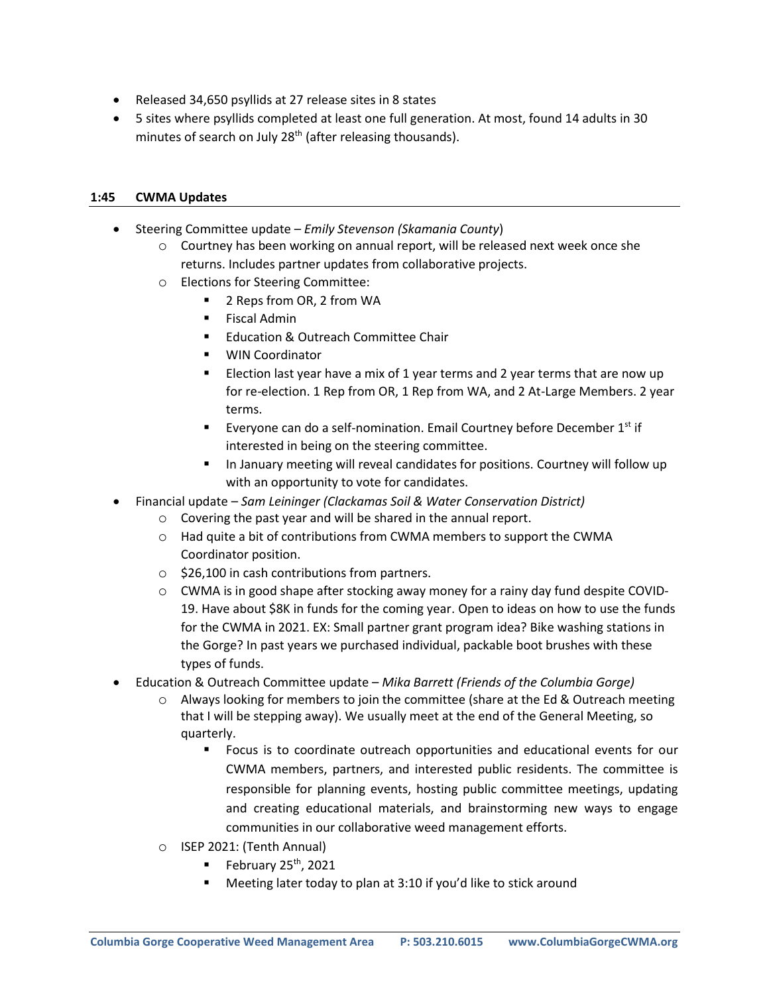- Released 34,650 psyllids at 27 release sites in 8 states
- 5 sites where psyllids completed at least one full generation. At most, found 14 adults in 30 minutes of search on July  $28<sup>th</sup>$  (after releasing thousands).

#### **1:45 CWMA Updates**

- Steering Committee update *Emily Stevenson (Skamania County*)
	- o Courtney has been working on annual report, will be released next week once she returns. Includes partner updates from collaborative projects.
	- o Elections for Steering Committee:
		- 2 Reps from OR, 2 from WA
		- Fiscal Admin
		- **Education & Outreach Committee Chair**
		- WIN Coordinator
		- Election last year have a mix of 1 year terms and 2 year terms that are now up for re-election. 1 Rep from OR, 1 Rep from WA, and 2 At-Large Members. 2 year terms.
		- **Everyone can do a self-nomination. Email Courtney before December**  $1<sup>st</sup>$  **if** interested in being on the steering committee.
		- In January meeting will reveal candidates for positions. Courtney will follow up with an opportunity to vote for candidates.
- Financial update *Sam Leininger (Clackamas Soil & Water Conservation District)*
	- o Covering the past year and will be shared in the annual report.
	- $\circ$  Had quite a bit of contributions from CWMA members to support the CWMA Coordinator position.
	- o \$26,100 in cash contributions from partners.
	- o CWMA is in good shape after stocking away money for a rainy day fund despite COVID-19. Have about \$8K in funds for the coming year. Open to ideas on how to use the funds for the CWMA in 2021. EX: Small partner grant program idea? Bike washing stations in the Gorge? In past years we purchased individual, packable boot brushes with these types of funds.
- Education & Outreach Committee update *Mika Barrett (Friends of the Columbia Gorge)*
	- o Always looking for members to join the committee (share at the Ed & Outreach meeting that I will be stepping away). We usually meet at the end of the General Meeting, so quarterly.
		- Focus is to coordinate outreach opportunities and educational events for our CWMA members, partners, and interested public residents. The committee is responsible for planning events, hosting public committee meetings, updating and creating educational materials, and brainstorming new ways to engage communities in our collaborative weed management efforts.
	- o ISEP 2021: (Tenth Annual)
		- February  $25<sup>th</sup>$ , 2021
		- Meeting later today to plan at 3:10 if you'd like to stick around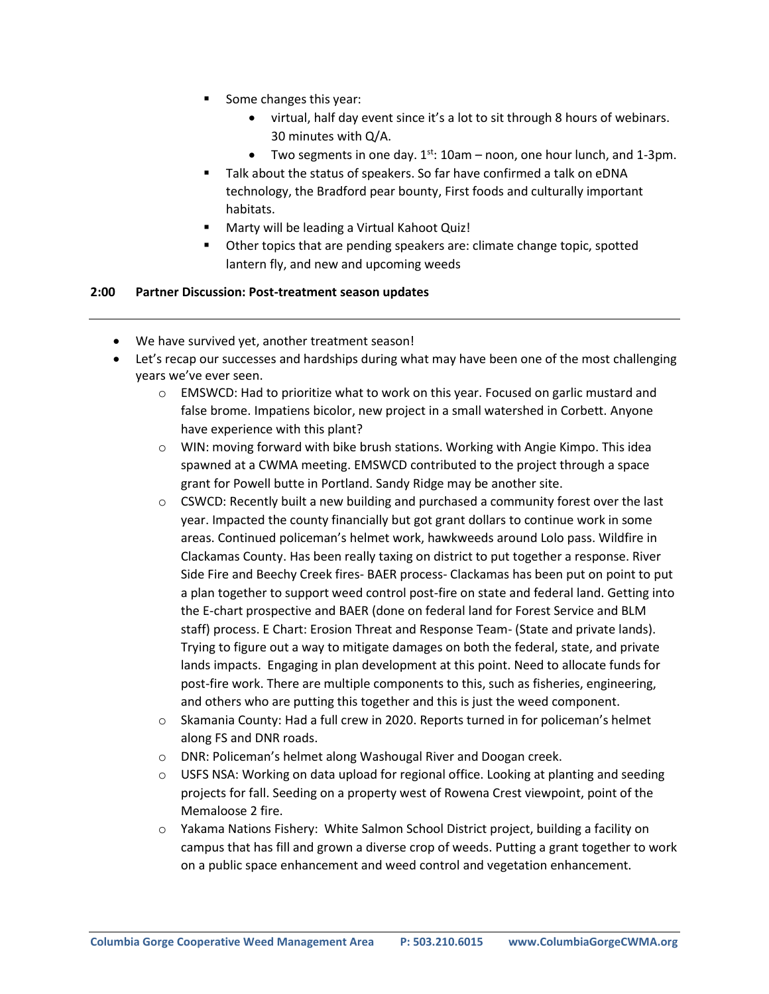- Some changes this year:
	- virtual, half day event since it's a lot to sit through 8 hours of webinars. 30 minutes with Q/A.
	- Two segments in one day.  $1^{st}$ : 10am noon, one hour lunch, and 1-3pm.
- Talk about the status of speakers. So far have confirmed a talk on eDNA technology, the Bradford pear bounty, First foods and culturally important habitats.
- Marty will be leading a Virtual Kahoot Quiz!
- Other topics that are pending speakers are: climate change topic, spotted lantern fly, and new and upcoming weeds

#### **2:00 Partner Discussion: Post-treatment season updates**

- We have survived yet, another treatment season!
- Let's recap our successes and hardships during what may have been one of the most challenging years we've ever seen.
	- o EMSWCD: Had to prioritize what to work on this year. Focused on garlic mustard and false brome. Impatiens bicolor, new project in a small watershed in Corbett. Anyone have experience with this plant?
	- $\circ$  WIN: moving forward with bike brush stations. Working with Angie Kimpo. This idea spawned at a CWMA meeting. EMSWCD contributed to the project through a space grant for Powell butte in Portland. Sandy Ridge may be another site.
	- $\circ$  CSWCD: Recently built a new building and purchased a community forest over the last year. Impacted the county financially but got grant dollars to continue work in some areas. Continued policeman's helmet work, hawkweeds around Lolo pass. Wildfire in Clackamas County. Has been really taxing on district to put together a response. River Side Fire and Beechy Creek fires- BAER process- Clackamas has been put on point to put a plan together to support weed control post-fire on state and federal land. Getting into the E-chart prospective and BAER (done on federal land for Forest Service and BLM staff) process. E Chart: Erosion Threat and Response Team- (State and private lands). Trying to figure out a way to mitigate damages on both the federal, state, and private lands impacts. Engaging in plan development at this point. Need to allocate funds for post-fire work. There are multiple components to this, such as fisheries, engineering, and others who are putting this together and this is just the weed component.
	- $\circ$  Skamania County: Had a full crew in 2020. Reports turned in for policeman's helmet along FS and DNR roads.
	- o DNR: Policeman's helmet along Washougal River and Doogan creek.
	- $\circ$  USFS NSA: Working on data upload for regional office. Looking at planting and seeding projects for fall. Seeding on a property west of Rowena Crest viewpoint, point of the Memaloose 2 fire.
	- o Yakama Nations Fishery: White Salmon School District project, building a facility on campus that has fill and grown a diverse crop of weeds. Putting a grant together to work on a public space enhancement and weed control and vegetation enhancement.